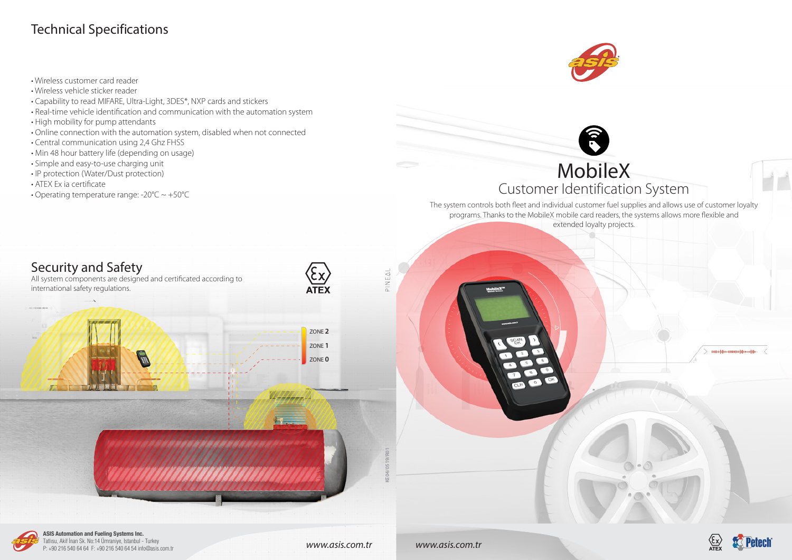# MobileX Customer Identification System

The system controls both fleet and individual customer fuel supplies and allows use of customer loyalty programs. Thanks to the MobileX mobile card readers, the systems allows more flexible and extended loyalty projects.

*www.asis.com.tr www.asis.com.tr*





**ASIS Automation and Fueling Systems Inc.** Tatlısu, Akif İnan Sk. No:14 Ümraniye, Istanbul - Turkey P: +90 216 540 64 64 F: +90 216 540 64 54 info@asis.com.tr





- Wireless customer card reader
- Wireless vehicle sticker reader
- Capability to read MIFARE, Ultra-Light, 3DES\*, NXP cards and stickers
- Real-time vehicle identification and communication with the automation system
- High mobility for pump attendants
- Online connection with the automation system, disabled when not connected
- Central communication using 2,4 Ghz FHSS
- Min 48 hour battery life (depending on usage)
- Simple and easy-to-use charging unit
- IP protection (Water/Dust protection)
- ATEX Ex ia certificate
- Operating temperature range: -20°C ~ +50°C





## Technical Specifications